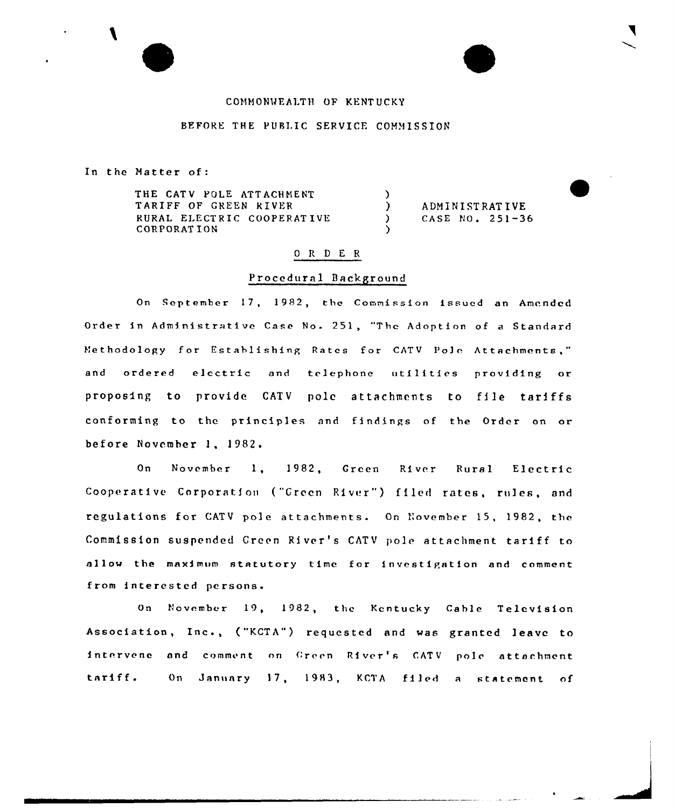# COMMONWEALTH OF KENTUCKY

## BEFORE THE PUBLIC SERVICE COMMISSION

In the Natter of

THE CATV POLE ATTACHMENT TARIFF OF GREEN RIVER RURAL ELECTRIC COOPERATIVE CORPORATION

) ADMINISTRATIVE<br>
) CASE NO. 251-3 ) CASE NO. 251-36

### 0 R <sup>D</sup> E R

)<br>)

)

### Procedural Background

On September 17, 1982, the Commission issued an Amended Order in Administrative Case No. 251, "Thc Adoption of <sup>a</sup> Standard Methodology for Establishing Rates for CATV Pole Attachments," and ordered electric and telephone utilities providing or proposing to provide CATV pole attachments to file tariffs conforming to the principles and findings of the Order on or before November 1, 1982.

On November 1, 1982, Green River Rural Electric Cooperative Corporation ("Green River") filed rates, rules, and regulations for CATV pole attachments. On November 15, 1982, the Commission suspended Creen River's CATV pole attachment tariff to allow the maximum statutory time for investigation and comment from interested persons.

On November 19, 1982, the Kentucky Cable Television Association, Inc., ("KCTA") requested and was granted leave to intervene and comment on Green River's CATV pole attachment tariff. On January 17, 1983, KCTA filed a statement of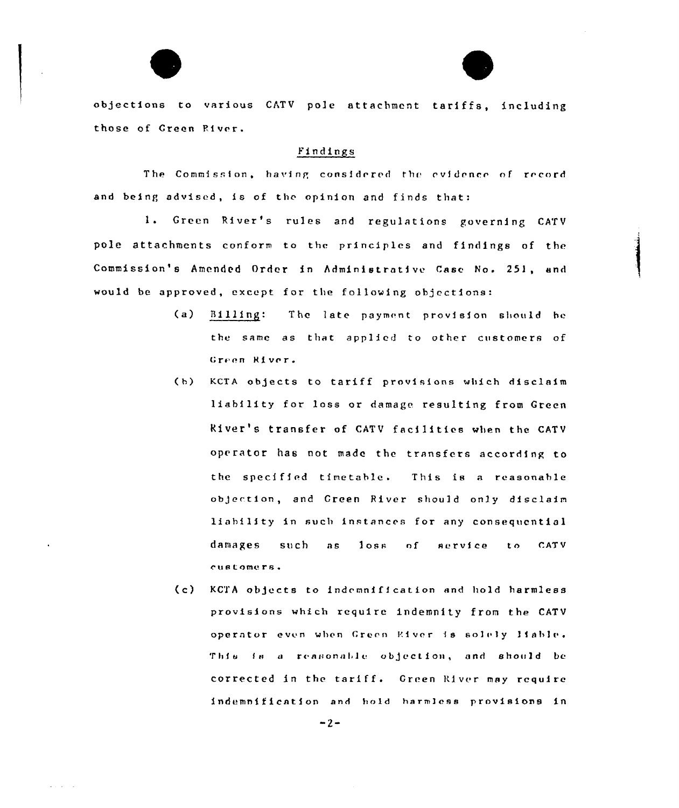objections to various CATV pole attachment tariffs, including those of Green Fi ver.

### Findings

The Commission, having considered the evidence of record and being advised, is of the opinion and finds that:

Green River's rules and regulations governing CATV pole attachments conform to the principles and findings of the Commission's Amended Order in Administrative Case No. 251, and would be approved, except for the following objections:

- (a) Billing: The 1ate payment provision should hc the same as that applied to other customers of Green River.
- (b) KCTA objects to tariff provisions which disclaim liability for loss or damage resulting from Green kiver's transfer of CATV facilities when the CATV operator has not made the transfers according to the speci fied timetable. This is <sup>a</sup> reasonable objection, and Green River should only disclaim liability in such instances for any consequential damages such as loss of service to CATV customers.
- (c) KCTA objects to indemnification and hold harmless provisions which require indemnity from the CATV operator even when Green River is solely liable. This is a reasonable objection, and should be corrected in the tariff. Green River may require indemnification and hold harmless provisions in

 $-2-$ 

 $\omega_{\rm{max}}$  and  $\omega_{\rm{max}}$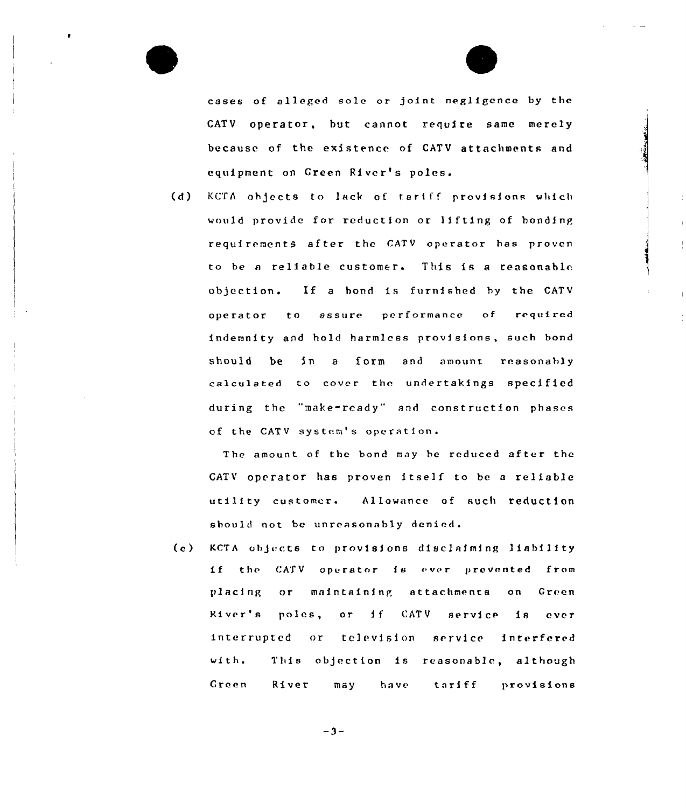cases of alleged sole or joint negligence by the CATV operator, but cannot require same merely because of the existence of CATV attachments and equipment on Green River's poles.

(d) KCTA objects to lack of tariff provisions which would provide for reduction or lifting of bonding requirements after the CATV operator has proven to be <sup>a</sup> reliable customer. This is <sup>a</sup> reasonabl<. objection. If <sup>a</sup> bond is furnished hy the CATV operator to assure performance of required indemnity and hold harmless provisions, such bond should be in a form and amount reasonably calculated to cover the undertakings specified during thc "make-ready" and construction phases of the CATV system's operation.

The amount of the bond may be reduced after the CATV oprrator has proven itself to be <sup>a</sup> reliable utility customer. Allowance of such reduction should not be unreasonably denied.

(e) KCTA objects to provisions disclaiming liability if the CATV operator is ever prevented from placing or maintaining attachments on Green River's poles, or if CATV service is ever interrupted or television service interfered wi th. Creen This objection is reasonable, although River may have tariff provisions

 $-3-$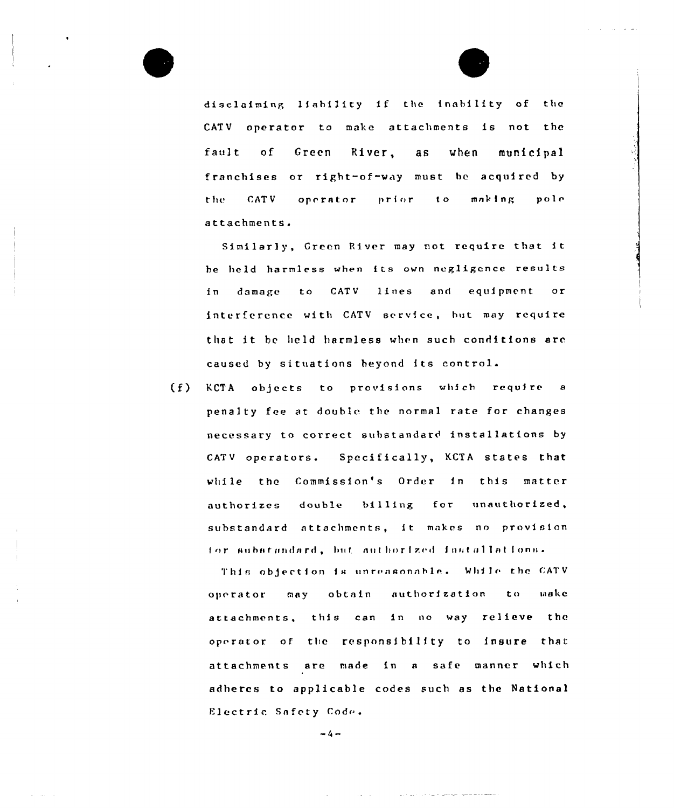

disclaiming liability if the inability of the CATV operator to make attachments is not the fault  $\circ$ f Green River,  $a s$ when municipal franchises or right-of-way must be acquired by CATV making the operator prior  $\mathbf{t}$ .  $po1c$ attachments.

Similarly, Green River may not require that it be held harmless when its own negligence results in damage to CATV lines and equipment  $or$ interference with CATV service, but may require that it be held harmless when such conditions are caused by situations heyond its control.

 $(f)$ KCTA objects to provisions which require a penalty fee at double the normal rate for changes necessary to correct substandard installations by CATV operators. Specifically, KCTA states that while the Commission's Order in this matter authorizes double  $b1111ng$ for unauthorized, substandard attachments, it makes no provision for substandard, but authorized installations.

This objection is unreasonable. While the CATV obtain authorization  $t<sub>0</sub>$ make operator may attachments, this can in no way relieve the operator of the responsibility to insure that attachments are made in a safe manner which adheres to applicable codes such as the National Electric Safety Code.

المستفق والمرواة والمناورة

 $-4-$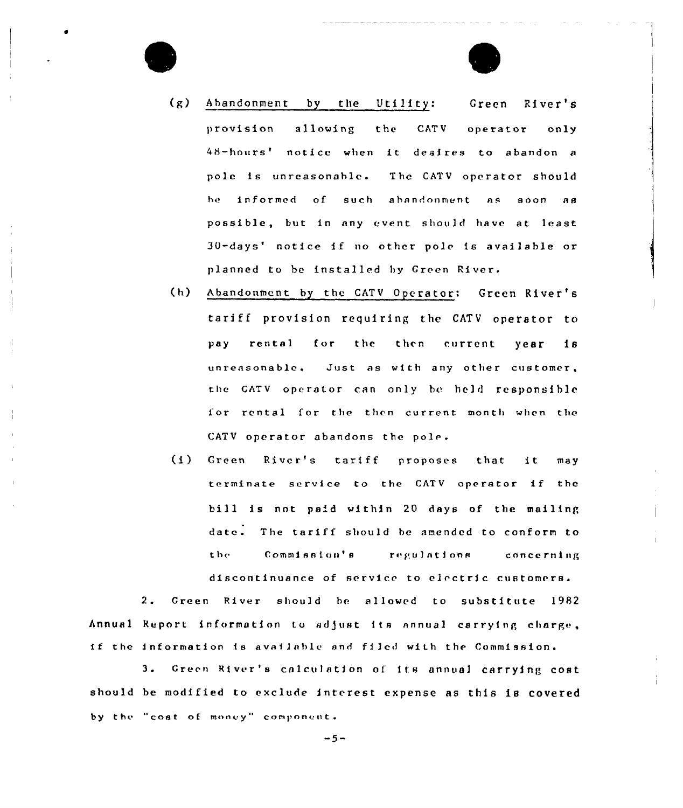

- (g) Abandonment by the Utility: Green River's provision allowing the CATV operator only 48-hours' notice when it desires to abandon a pole is unreasonable. The CATV operator should b» informed of such abandonment as soon as possible, but in any event shou]d have at least 30-days' notice if no other pole is available or planned to be installed hy Green River.
- (h} Abandonment by the CATV Operator: Green River's tariff provision requiring the CATV operator to pay rental for thc then current year is unreasonable. Just as with any other customer, the GATV operator can only hc held responsible for rental for the then current month when the CATV operator abandons the pole.
- (i} Green River's tariff proposes that it may terminate service to the CATV operator if the bill is not paid within 20 days of the mailing date. The tariff should be amended to conform to the Commission's regulations concerning discontinuance of service to electric customers.

2. Creen River should be allowed to substitute 1982 Annual Report information to adjust its annual carrying charge, if the information is available and filed with the Commission.

3. Green River's calculation of its annual carrying cost should be modified to exclude interest expense as this is covered by the "cost of money" component,

 $-5-$